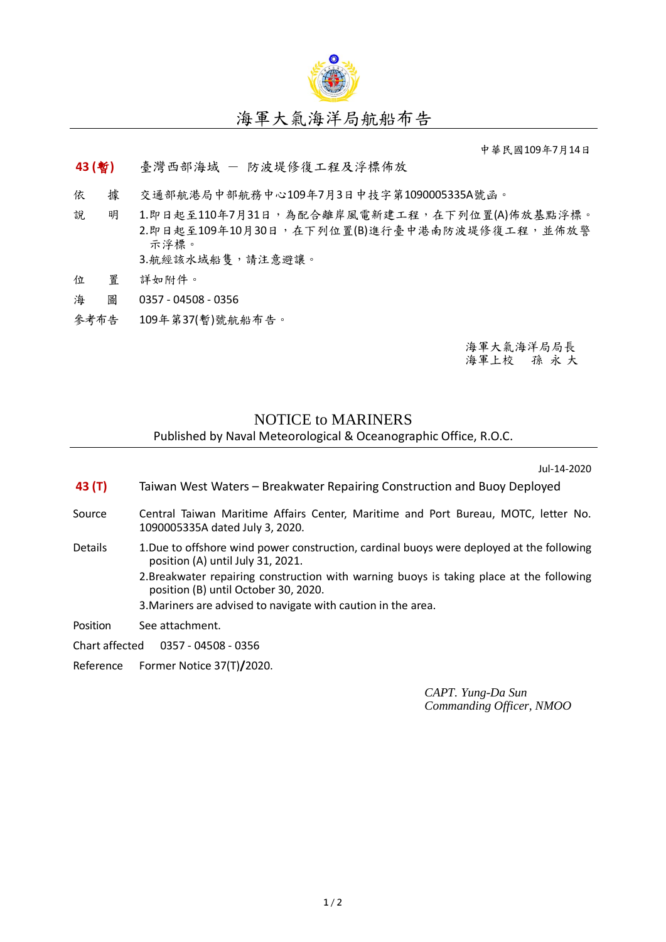

中華民國109年7月14日

## **43 (**暫**)** 臺灣西部海域 - 防波堤修復工程及浮標佈放

- 依 據 交通部航港局中部航務中心109年7月3日中技字第1090005335A號函。
- 說 明 1.即日起至110年7月31日,為配合離岸風電新建工程,在下列位置(A)佈放基點浮標。 2.即日起至109年10月30日,在下列位置(B)進行臺中港南防波堤修復工程,並佈放警 示浮標。 3.航經該水域船隻,請注意避讓。
- 位 置 詳如附件。
- 海 圖 0357 04508 0356
- 參考布告 109年第37(暫)號航船布告。

海軍大氣海洋局局長 海軍上校 孫 永 大

## NOTICE to MARINERS

## Published by Naval Meteorological & Oceanographic Office, R.O.C.

Jul-14-2020

- **43 (T)** Taiwan West Waters Breakwater Repairing Construction and Buoy Deployed
- Source Central Taiwan Maritime Affairs Center, Maritime and Port Bureau, MOTC, letter No. 1090005335A dated July 3, 2020.
- Details 1.Due to offshore wind power construction, cardinal buoys were deployed at the following position (A) until July 31, 2021.
	- 2.Breakwater repairing construction with warning buoys is taking place at the following position (B) until October 30, 2020.
	- 3.Mariners are advised to navigate with caution in the area.

Position See attachment.

- Chart affected 0357 04508 0356
- Reference Former Notice 37(T)**/**2020.

*CAPT. Yung-Da Sun Commanding Officer, NMOO*